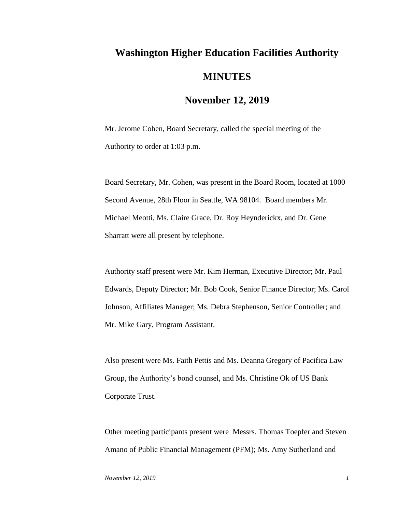## **Washington Higher Education Facilities Authority MINUTES**

## **November 12, 2019**

Mr. Jerome Cohen, Board Secretary, called the special meeting of the Authority to order at 1:03 p.m.

Board Secretary, Mr. Cohen, was present in the Board Room, located at 1000 Second Avenue, 28th Floor in Seattle, WA 98104. Board members Mr. Michael Meotti, Ms. Claire Grace, Dr. Roy Heynderickx, and Dr. Gene Sharratt were all present by telephone.

Authority staff present were Mr. Kim Herman, Executive Director; Mr. Paul Edwards, Deputy Director; Mr. Bob Cook, Senior Finance Director; Ms. Carol Johnson, Affiliates Manager; Ms. Debra Stephenson, Senior Controller; and Mr. Mike Gary, Program Assistant.

Also present were Ms. Faith Pettis and Ms. Deanna Gregory of Pacifica Law Group, the Authority's bond counsel, and Ms. Christine Ok of US Bank Corporate Trust.

Other meeting participants present were Messrs. Thomas Toepfer and Steven Amano of Public Financial Management (PFM); Ms. Amy Sutherland and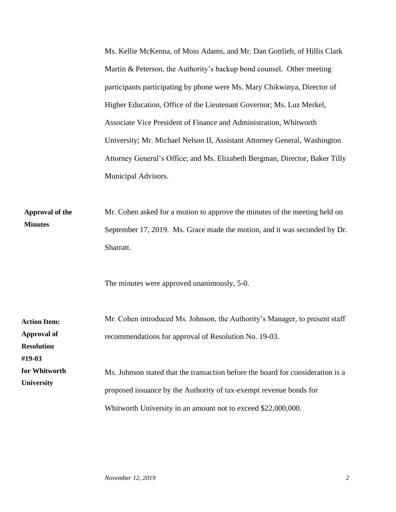Ms. Kellie McKenna, of Moss Adams, and Mr. Dan Gottlieb, of Hillis Clark Martin & Peterson, the Authority's backup bond counsel. Other meeting participants participating by phone were Ms. Mary Chikwinya, Director of Higher Education, Office of the Lieutenant Governor; Ms. Luz Merkel, Associate Vice President of Finance and Administration, Whitworth University; Mr. Michael Nelson II, Assistant Attorney General, Washington Attorney General's Office; and Ms. Elizabeth Bergman, Director, Baker Tilly Municipal Advisors.

Mr. Cohen asked for a motion to approve the minutes of the meeting held on September 17, 2019. Ms. Grace made the motion, and it was seconded by Dr. Sharratt. **Approval of the Minutes**

The minutes were approved unanimously, 5-0.

| <b>Action Item:</b> | Mr. Cohen introduced Ms. Johnson, the Authority's Manager, to present staff     |
|---------------------|---------------------------------------------------------------------------------|
| <b>Approval of</b>  | recommendations for approval of Resolution No. 19-03.                           |
| <b>Resolution</b>   |                                                                                 |
| #19-03              |                                                                                 |
| for Whitworth       | Ms. Johnson stated that the transaction before the board for consideration is a |
| <b>University</b>   | proposed issuance by the Authority of tax-exempt revenue bonds for              |
|                     | Whitworth University in an amount not to exceed \$22,000,000.                   |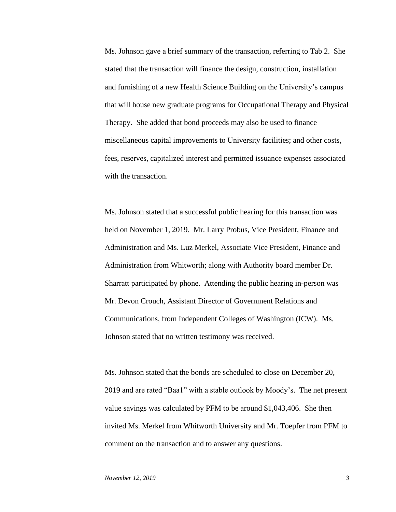Ms. Johnson gave a brief summary of the transaction, referring to Tab 2. She stated that the transaction will finance the design, construction, installation and furnishing of a new Health Science Building on the University's campus that will house new graduate programs for Occupational Therapy and Physical Therapy. She added that bond proceeds may also be used to finance miscellaneous capital improvements to University facilities; and other costs, fees, reserves, capitalized interest and permitted issuance expenses associated with the transaction.

Ms. Johnson stated that a successful public hearing for this transaction was held on November 1, 2019. Mr. Larry Probus, Vice President, Finance and Administration and Ms. Luz Merkel, Associate Vice President, Finance and Administration from Whitworth; along with Authority board member Dr. Sharratt participated by phone. Attending the public hearing in-person was Mr. Devon Crouch, Assistant Director of Government Relations and Communications, from Independent Colleges of Washington (ICW). Ms. Johnson stated that no written testimony was received.

Ms. Johnson stated that the bonds are scheduled to close on December 20, 2019 and are rated "Baa1" with a stable outlook by Moody's. The net present value savings was calculated by PFM to be around \$1,043,406. She then invited Ms. Merkel from Whitworth University and Mr. Toepfer from PFM to comment on the transaction and to answer any questions.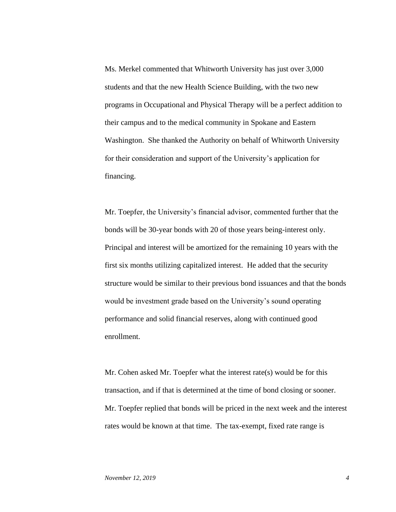Ms. Merkel commented that Whitworth University has just over 3,000 students and that the new Health Science Building, with the two new programs in Occupational and Physical Therapy will be a perfect addition to their campus and to the medical community in Spokane and Eastern Washington. She thanked the Authority on behalf of Whitworth University for their consideration and support of the University's application for financing.

Mr. Toepfer, the University's financial advisor, commented further that the bonds will be 30-year bonds with 20 of those years being-interest only. Principal and interest will be amortized for the remaining 10 years with the first six months utilizing capitalized interest. He added that the security structure would be similar to their previous bond issuances and that the bonds would be investment grade based on the University's sound operating performance and solid financial reserves, along with continued good enrollment.

Mr. Cohen asked Mr. Toepfer what the interest rate(s) would be for this transaction, and if that is determined at the time of bond closing or sooner. Mr. Toepfer replied that bonds will be priced in the next week and the interest rates would be known at that time. The tax-exempt, fixed rate range is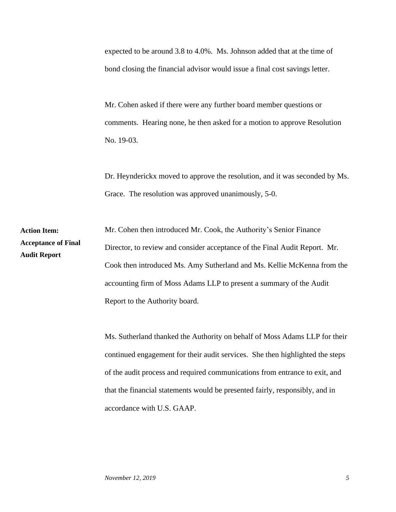expected to be around 3.8 to 4.0%. Ms. Johnson added that at the time of bond closing the financial advisor would issue a final cost savings letter.

Mr. Cohen asked if there were any further board member questions or comments. Hearing none, he then asked for a motion to approve Resolution No. 19-03.

Dr. Heynderickx moved to approve the resolution, and it was seconded by Ms. Grace. The resolution was approved unanimously, 5-0.

Mr. Cohen then introduced Mr. Cook, the Authority's Senior Finance Director, to review and consider acceptance of the Final Audit Report. Mr. Cook then introduced Ms. Amy Sutherland and Ms. Kellie McKenna from the accounting firm of Moss Adams LLP to present a summary of the Audit Report to the Authority board. **Action Item: Acceptance of Final Audit Report**

> Ms. Sutherland thanked the Authority on behalf of Moss Adams LLP for their continued engagement for their audit services. She then highlighted the steps of the audit process and required communications from entrance to exit, and that the financial statements would be presented fairly, responsibly, and in accordance with U.S. GAAP.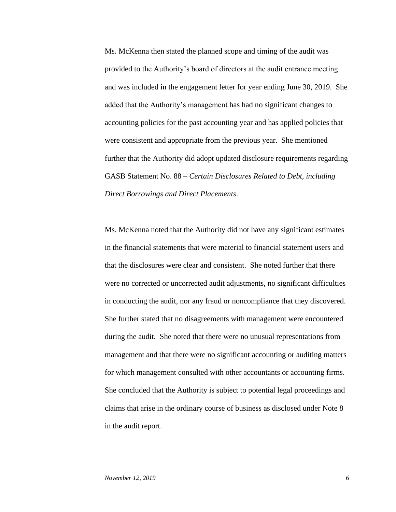Ms. McKenna then stated the planned scope and timing of the audit was provided to the Authority's board of directors at the audit entrance meeting and was included in the engagement letter for year ending June 30, 2019. She added that the Authority's management has had no significant changes to accounting policies for the past accounting year and has applied policies that were consistent and appropriate from the previous year. She mentioned further that the Authority did adopt updated disclosure requirements regarding GASB Statement No. 88 – *Certain Disclosures Related to Debt, including Direct Borrowings and Direct Placements*.

Ms. McKenna noted that the Authority did not have any significant estimates in the financial statements that were material to financial statement users and that the disclosures were clear and consistent. She noted further that there were no corrected or uncorrected audit adjustments, no significant difficulties in conducting the audit, nor any fraud or noncompliance that they discovered. She further stated that no disagreements with management were encountered during the audit. She noted that there were no unusual representations from management and that there were no significant accounting or auditing matters for which management consulted with other accountants or accounting firms. She concluded that the Authority is subject to potential legal proceedings and claims that arise in the ordinary course of business as disclosed under Note 8 in the audit report.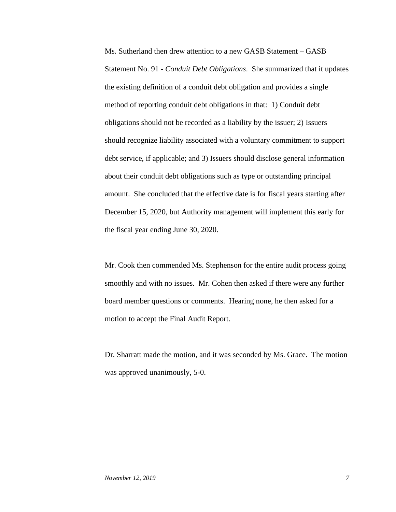Ms. Sutherland then drew attention to a new GASB Statement – GASB Statement No. 91 - *Conduit Debt Obligations*. She summarized that it updates the existing definition of a conduit debt obligation and provides a single method of reporting conduit debt obligations in that: 1) Conduit debt obligations should not be recorded as a liability by the issuer; 2) Issuers should recognize liability associated with a voluntary commitment to support debt service, if applicable; and 3) Issuers should disclose general information about their conduit debt obligations such as type or outstanding principal amount. She concluded that the effective date is for fiscal years starting after December 15, 2020, but Authority management will implement this early for the fiscal year ending June 30, 2020.

Mr. Cook then commended Ms. Stephenson for the entire audit process going smoothly and with no issues. Mr. Cohen then asked if there were any further board member questions or comments. Hearing none, he then asked for a motion to accept the Final Audit Report.

Dr. Sharratt made the motion, and it was seconded by Ms. Grace. The motion was approved unanimously, 5-0.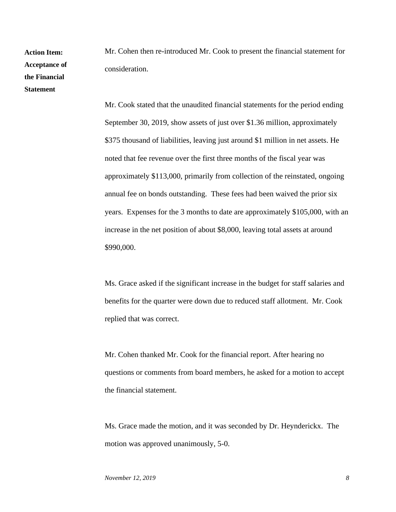**Action Item: Acceptance of the Financial Statement**

Mr. Cohen then re-introduced Mr. Cook to present the financial statement for consideration.

Mr. Cook stated that the unaudited financial statements for the period ending September 30, 2019, show assets of just over \$1.36 million, approximately \$375 thousand of liabilities, leaving just around \$1 million in net assets. He noted that fee revenue over the first three months of the fiscal year was approximately \$113,000, primarily from collection of the reinstated, ongoing annual fee on bonds outstanding. These fees had been waived the prior six years. Expenses for the 3 months to date are approximately \$105,000, with an increase in the net position of about \$8,000, leaving total assets at around \$990,000.

Ms. Grace asked if the significant increase in the budget for staff salaries and benefits for the quarter were down due to reduced staff allotment. Mr. Cook replied that was correct.

Mr. Cohen thanked Mr. Cook for the financial report. After hearing no questions or comments from board members, he asked for a motion to accept the financial statement.

Ms. Grace made the motion, and it was seconded by Dr. Heynderickx. The motion was approved unanimously, 5-0.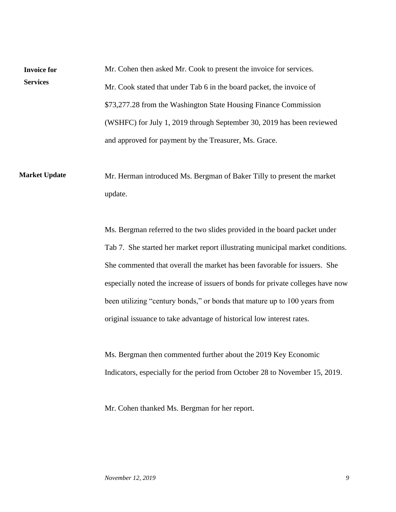Mr. Cohen then asked Mr. Cook to present the invoice for services. Mr. Cook stated that under Tab 6 in the board packet, the invoice of \$73,277.28 from the Washington State Housing Finance Commission (WSHFC) for July 1, 2019 through September 30, 2019 has been reviewed and approved for payment by the Treasurer, Ms. Grace. **Invoice for Services**

Mr. Herman introduced Ms. Bergman of Baker Tilly to present the market update. **Market Update**

> Ms. Bergman referred to the two slides provided in the board packet under Tab 7. She started her market report illustrating municipal market conditions. She commented that overall the market has been favorable for issuers. She especially noted the increase of issuers of bonds for private colleges have now been utilizing "century bonds," or bonds that mature up to 100 years from original issuance to take advantage of historical low interest rates.

Ms. Bergman then commented further about the 2019 Key Economic Indicators, especially for the period from October 28 to November 15, 2019.

Mr. Cohen thanked Ms. Bergman for her report.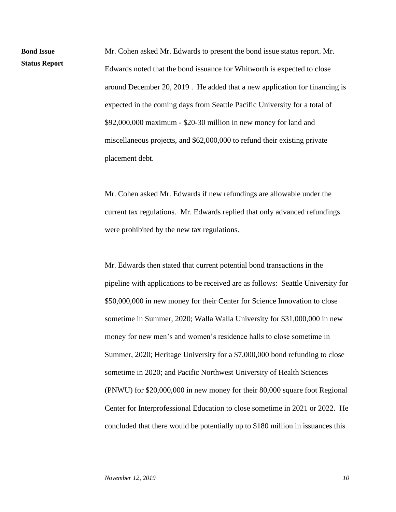Mr. Cohen asked Mr. Edwards to present the bond issue status report. Mr. Edwards noted that the bond issuance for Whitworth is expected to close around December 20, 2019 . He added that a new application for financing is expected in the coming days from Seattle Pacific University for a total of \$92,000,000 maximum - \$20-30 million in new money for land and miscellaneous projects, and \$62,000,000 to refund their existing private placement debt.

Mr. Cohen asked Mr. Edwards if new refundings are allowable under the current tax regulations. Mr. Edwards replied that only advanced refundings were prohibited by the new tax regulations.

Mr. Edwards then stated that current potential bond transactions in the pipeline with applications to be received are as follows: Seattle University for \$50,000,000 in new money for their Center for Science Innovation to close sometime in Summer, 2020; Walla Walla University for \$31,000,000 in new money for new men's and women's residence halls to close sometime in Summer, 2020; Heritage University for a \$7,000,000 bond refunding to close sometime in 2020; and Pacific Northwest University of Health Sciences (PNWU) for \$20,000,000 in new money for their 80,000 square foot Regional Center for Interprofessional Education to close sometime in 2021 or 2022. He concluded that there would be potentially up to \$180 million in issuances this

**Bond Issue** 

**Status Report**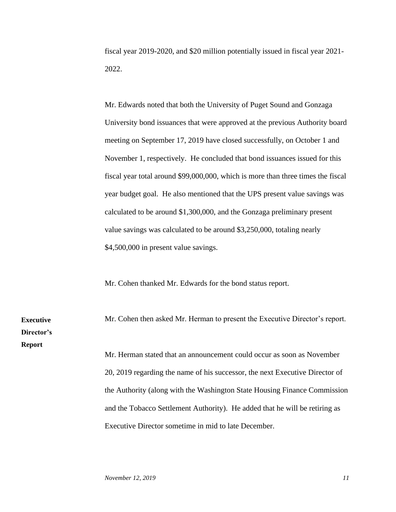fiscal year 2019-2020, and \$20 million potentially issued in fiscal year 2021- 2022.

Mr. Edwards noted that both the University of Puget Sound and Gonzaga University bond issuances that were approved at the previous Authority board meeting on September 17, 2019 have closed successfully, on October 1 and November 1, respectively. He concluded that bond issuances issued for this fiscal year total around \$99,000,000, which is more than three times the fiscal year budget goal. He also mentioned that the UPS present value savings was calculated to be around \$1,300,000, and the Gonzaga preliminary present value savings was calculated to be around \$3,250,000, totaling nearly \$4,500,000 in present value savings.

Mr. Cohen thanked Mr. Edwards for the bond status report.

**Executive Director's Report**

Mr. Cohen then asked Mr. Herman to present the Executive Director's report. Mr. Herman stated that an announcement could occur as soon as November 20, 2019 regarding the name of his successor, the next Executive Director of

the Authority (along with the Washington State Housing Finance Commission and the Tobacco Settlement Authority). He added that he will be retiring as Executive Director sometime in mid to late December.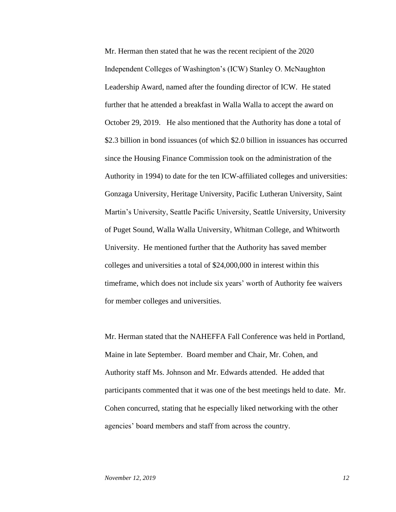Mr. Herman then stated that he was the recent recipient of the 2020 Independent Colleges of Washington's (ICW) Stanley O. McNaughton Leadership Award, named after the founding director of ICW. He stated further that he attended a breakfast in Walla Walla to accept the award on October 29, 2019. He also mentioned that the Authority has done a total of \$2.3 billion in bond issuances (of which \$2.0 billion in issuances has occurred since the Housing Finance Commission took on the administration of the Authority in 1994) to date for the ten ICW-affiliated colleges and universities: Gonzaga University, Heritage University, Pacific Lutheran University, Saint Martin's University, Seattle Pacific University, Seattle University, University of Puget Sound, Walla Walla University, Whitman College, and Whitworth University. He mentioned further that the Authority has saved member colleges and universities a total of \$24,000,000 in interest within this timeframe, which does not include six years' worth of Authority fee waivers for member colleges and universities.

Mr. Herman stated that the NAHEFFA Fall Conference was held in Portland, Maine in late September. Board member and Chair, Mr. Cohen, and Authority staff Ms. Johnson and Mr. Edwards attended. He added that participants commented that it was one of the best meetings held to date. Mr. Cohen concurred, stating that he especially liked networking with the other agencies' board members and staff from across the country.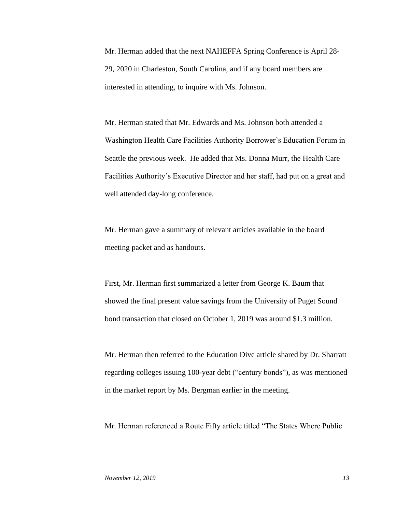Mr. Herman added that the next NAHEFFA Spring Conference is April 28- 29, 2020 in Charleston, South Carolina, and if any board members are interested in attending, to inquire with Ms. Johnson.

Mr. Herman stated that Mr. Edwards and Ms. Johnson both attended a Washington Health Care Facilities Authority Borrower's Education Forum in Seattle the previous week. He added that Ms. Donna Murr, the Health Care Facilities Authority's Executive Director and her staff, had put on a great and well attended day-long conference.

Mr. Herman gave a summary of relevant articles available in the board meeting packet and as handouts.

First, Mr. Herman first summarized a letter from George K. Baum that showed the final present value savings from the University of Puget Sound bond transaction that closed on October 1, 2019 was around \$1.3 million.

Mr. Herman then referred to the Education Dive article shared by Dr. Sharratt regarding colleges issuing 100-year debt ("century bonds"), as was mentioned in the market report by Ms. Bergman earlier in the meeting.

Mr. Herman referenced a Route Fifty article titled "The States Where Public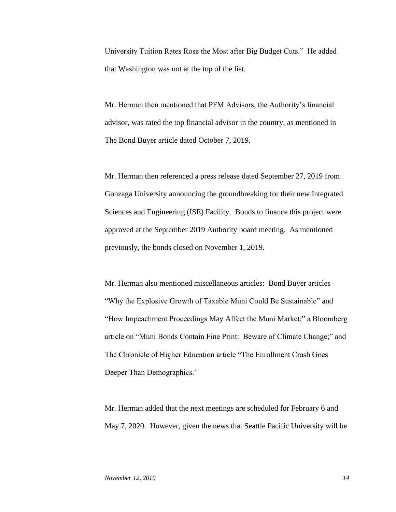University Tuition Rates Rose the Most after Big Budget Cuts." He added that Washington was not at the top of the list.

Mr. Herman then mentioned that PFM Advisors, the Authority's financial advisor, was rated the top financial advisor in the country, as mentioned in The Bond Buyer article dated October 7, 2019.

Mr. Herman then referenced a press release dated September 27, 2019 from Gonzaga University announcing the groundbreaking for their new Integrated Sciences and Engineering (ISE) Facility. Bonds to finance this project were approved at the September 2019 Authority board meeting. As mentioned previously, the bonds closed on November 1, 2019.

Mr. Herman also mentioned miscellaneous articles: Bond Buyer articles "Why the Explosive Growth of Taxable Muni Could Be Sustainable" and "How Impeachment Proceedings May Affect the Muni Market;" a Bloomberg article on "Muni Bonds Contain Fine Print: Beware of Climate Change;" and The Chronicle of Higher Education article "The Enrollment Crash Goes Deeper Than Demographics."

Mr. Herman added that the next meetings are scheduled for February 6 and May 7, 2020. However, given the news that Seattle Pacific University will be